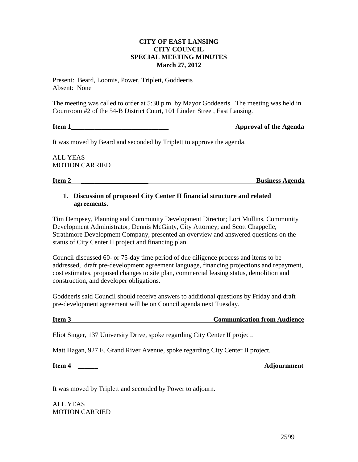## **CITY OF EAST LANSING CITY COUNCIL SPECIAL MEETING MINUTES March 27, 2012**

Present: Beard, Loomis, Power, Triplett, Goddeeris Absent: None

The meeting was called to order at 5:30 p.m. by Mayor Goddeeris. The meeting was held in Courtroom #2 of the 54-B District Court, 101 Linden Street, East Lansing.

## **Item 1 In the Agent of the Agent of the Agent of the Agent of the Agent of the Agent of the Agent of the Agent of the Agent of the Agent of the Agent of the Agent of the Agent of the Agent of the Agent of the Agent of t**

It was moved by Beard and seconded by Triplett to approve the agenda.

ALL YEAS MOTION CARRIED

**Item 2 \_\_\_\_\_\_\_\_\_\_\_\_\_\_\_\_\_\_\_\_ Business Agenda**

## **1. Discussion of proposed City Center II financial structure and related agreements.**

Tim Dempsey, Planning and Community Development Director; Lori Mullins, Community Development Administrator; Dennis McGinty, City Attorney; and Scott Chappelle, Strathmore Development Company, presented an overview and answered questions on the status of City Center II project and financing plan.

Council discussed 60- or 75-day time period of due diligence process and items to be addressed, draft pre-development agreement language, financing projections and repayment, cost estimates, proposed changes to site plan, commercial leasing status, demolition and construction, and developer obligations.

Goddeeris said Council should receive answers to additional questions by Friday and draft pre-development agreement will be on Council agenda next Tuesday.

**Item 3** Communication from Audience

Eliot Singer, 137 University Drive, spoke regarding City Center II project.

Matt Hagan, 927 E. Grand River Avenue, spoke regarding City Center II project.

**Item 4** and **Adjournment** *Adjournment* 

It was moved by Triplett and seconded by Power to adjourn.

ALL YEAS MOTION CARRIED